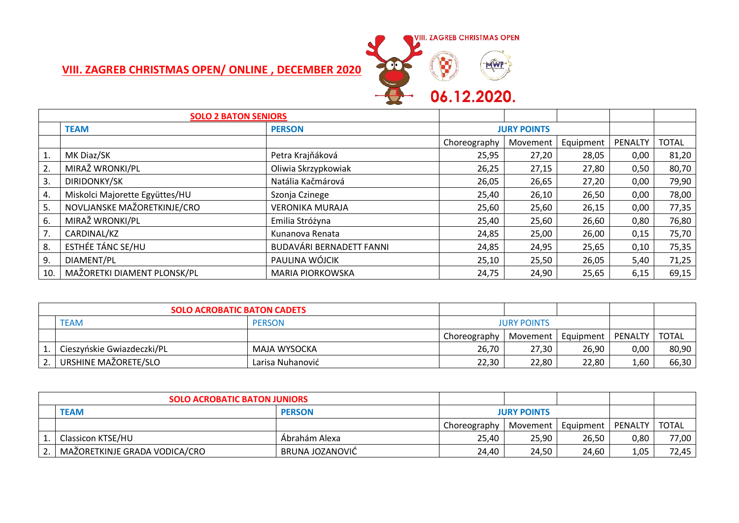

## **VIII. ZAGREB CHRISTMAS OPEN/ ONLINE , DECEMBER 2020**

| <b>SOLO 2 BATON SENIORS</b> |                                |                          |                    |          |           |         |              |
|-----------------------------|--------------------------------|--------------------------|--------------------|----------|-----------|---------|--------------|
|                             | <b>TEAM</b>                    | <b>PERSON</b>            | <b>JURY POINTS</b> |          |           |         |              |
|                             |                                |                          | Choreography       | Movement | Equipment | PENALTY | <b>TOTAL</b> |
| 1.                          | MK Diaz/SK                     | Petra Krajňáková         | 25,95              | 27,20    | 28,05     | 0,00    | 81,20        |
| 2.                          | MIRAŽ WRONKI/PL                | Oliwia Skrzypkowiak      | 26,25              | 27,15    | 27,80     | 0,50    | 80,70        |
| 3.                          | DIRIDONKY/SK                   | Natália Kačmárová        | 26,05              | 26,65    | 27,20     | 0,00    | 79,90        |
| 4.                          | Miskolci Majorette Együttes/HU | Szonja Czinege           | 25,40              | 26,10    | 26,50     | 0,00    | 78,00        |
| 5.                          | NOVLJANSKE MAŽORETKINJE/CRO    | <b>VERONIKA MURAJA</b>   | 25,60              | 25,60    | 26,15     | 0,00    | 77,35        |
| 6.                          | MIRAŽ WRONKI/PL                | Emilia Stróżyna          | 25,40              | 25,60    | 26,60     | 0,80    | 76,80        |
| 7.                          | CARDINAL/KZ                    | Kunanova Renata          | 24,85              | 25,00    | 26,00     | 0,15    | 75,70        |
| 8.                          | ESTHÉE TÁNC SE/HU              | BUDAVÁRI BERNADETT FANNI | 24,85              | 24,95    | 25,65     | 0,10    | 75,35        |
| 9.                          | DIAMENT/PL                     | PAULINA WÓJCIK           | 25,10              | 25,50    | 26,05     | 5,40    | 71,25        |
| 10.                         | MAŽORETKI DIAMENT PLONSK/PL    | <b>MARIA PIORKOWSKA</b>  | 24,75              | 24,90    | 25,65     | 6,15    | 69,15        |

| <b>SOLO ACROBATIC BATON CADETS</b> |                              |                  |                    |                      |       |         |              |
|------------------------------------|------------------------------|------------------|--------------------|----------------------|-------|---------|--------------|
|                                    | <b>PERSON</b><br><b>TEAM</b> |                  | <b>JURY POINTS</b> |                      |       |         |              |
|                                    |                              |                  | Choreography       | Movement   Equipment |       | PENALTY | <b>TOTAL</b> |
|                                    | Cieszyńskie Gwiazdeczki/PL   | MAJA WYSOCKA     | 26,70              | 27,30                | 26.90 | 0,00    | 80,90        |
| 2.1                                | URSHINE MAŽORETE/SLO         | Larisa Nuhanović | 22,30              | 22,80                | 22,80 | 1,60    | 66,30        |

| <b>SOLO ACROBATIC BATON JUNIORS</b> |                               |                                     |              |          |           |         |              |
|-------------------------------------|-------------------------------|-------------------------------------|--------------|----------|-----------|---------|--------------|
|                                     | <b>TEAM</b>                   | <b>PERSON</b><br><b>JURY POINTS</b> |              |          |           |         |              |
|                                     |                               |                                     | Choreography | Movement | Equipment | PENALTY | <b>TOTAL</b> |
|                                     | Classicon KTSE/HU             | Ábrahám Alexa                       | 25,40        | 25,90    | 26,50     | 0,80    | 77,00        |
|                                     | MAŽORETKINJE GRADA VODICA/CRO | BRUNA JOZANOVIĆ                     | 24,40        | 24,50    | 24,60     | 1,05    | 72,45        |